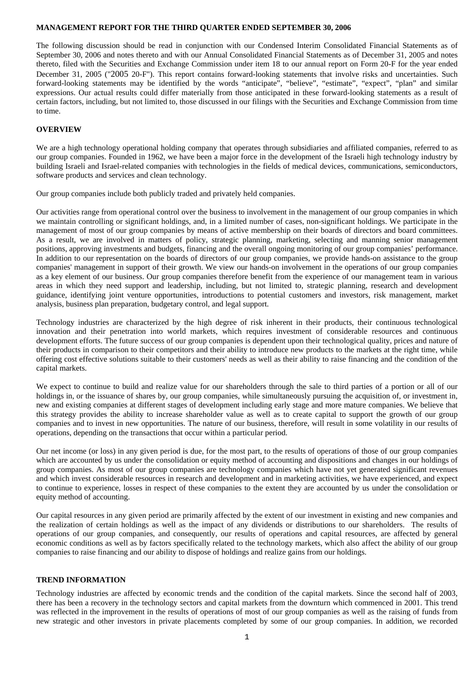### **MANAGEMENT REPORT FOR THE THIRD QUARTER ENDED SEPTEMBER 30, 2006**

The following discussion should be read in conjunction with our Condensed Interim Consolidated Financial Statements as of September 30, 2006 and notes thereto and with our Annual Consolidated Financial Statements as of December 31, 2005 and notes thereto, filed with the Securities and Exchange Commission under item 18 to our annual report on Form 20-F for the year ended December 31, 2005 ("2005 20-F"). This report contains forward-looking statements that involve risks and uncertainties. Such forward-looking statements may be identified by the words "anticipate", "believe", "estimate", "expect", "plan" and similar expressions. Our actual results could differ materially from those anticipated in these forward-looking statements as a result of certain factors, including, but not limited to, those discussed in our filings with the Securities and Exchange Commission from time to time.

## **OVERVIEW**

We are a high technology operational holding company that operates through subsidiaries and affiliated companies, referred to as our group companies. Founded in 1962, we have been a major force in the development of the Israeli high technology industry by building Israeli and Israel-related companies with technologies in the fields of medical devices, communications, semiconductors, software products and services and clean technology.

Our group companies include both publicly traded and privately held companies.

Our activities range from operational control over the business to involvement in the management of our group companies in which we maintain controlling or significant holdings, and, in a limited number of cases, non-significant holdings. We participate in the management of most of our group companies by means of active membership on their boards of directors and board committees. As a result, we are involved in matters of policy, strategic planning, marketing, selecting and manning senior management positions, approving investments and budgets, financing and the overall ongoing monitoring of our group companies' performance. In addition to our representation on the boards of directors of our group companies, we provide hands-on assistance to the group companies' management in support of their growth. We view our hands-on involvement in the operations of our group companies as a key element of our business. Our group companies therefore benefit from the experience of our management team in various areas in which they need support and leadership, including, but not limited to, strategic planning, research and development guidance, identifying joint venture opportunities, introductions to potential customers and investors, risk management, market analysis, business plan preparation, budgetary control, and legal support.

Technology industries are characterized by the high degree of risk inherent in their products, their continuous technological innovation and their penetration into world markets, which requires investment of considerable resources and continuous development efforts. The future success of our group companies is dependent upon their technological quality, prices and nature of their products in comparison to their competitors and their ability to introduce new products to the markets at the right time, while offering cost effective solutions suitable to their customers' needs as well as their ability to raise financing and the condition of the capital markets.

We expect to continue to build and realize value for our shareholders through the sale to third parties of a portion or all of our holdings in, or the issuance of shares by, our group companies, while simultaneously pursuing the acquisition of, or investment in, new and existing companies at different stages of development including early stage and more mature companies. We believe that this strategy provides the ability to increase shareholder value as well as to create capital to support the growth of our group companies and to invest in new opportunities. The nature of our business, therefore, will result in some volatility in our results of operations, depending on the transactions that occur within a particular period.

Our net income (or loss) in any given period is due, for the most part, to the results of operations of those of our group companies which are accounted by us under the consolidation or equity method of accounting and dispositions and changes in our holdings of group companies. As most of our group companies are technology companies which have not yet generated significant revenues and which invest considerable resources in research and development and in marketing activities, we have experienced, and expect to continue to experience, losses in respect of these companies to the extent they are accounted by us under the consolidation or equity method of accounting.

Our capital resources in any given period are primarily affected by the extent of our investment in existing and new companies and the realization of certain holdings as well as the impact of any dividends or distributions to our shareholders. The results of operations of our group companies, and consequently, our results of operations and capital resources, are affected by general economic conditions as well as by factors specifically related to the technology markets, which also affect the ability of our group companies to raise financing and our ability to dispose of holdings and realize gains from our holdings.

## **TREND INFORMATION**

Technology industries are affected by economic trends and the condition of the capital markets. Since the second half of 2003, there has been a recovery in the technology sectors and capital markets from the downturn which commenced in 2001. This trend was reflected in the improvement in the results of operations of most of our group companies as well as the raising of funds from new strategic and other investors in private placements completed by some of our group companies. In addition, we recorded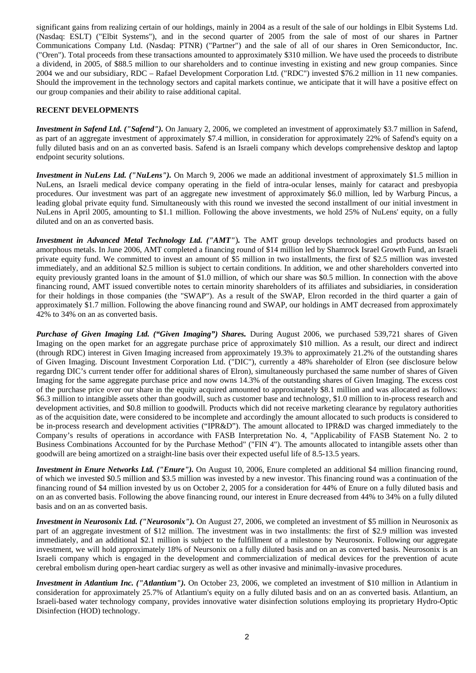significant gains from realizing certain of our holdings, mainly in 2004 as a result of the sale of our holdings in Elbit Systems Ltd. (Nasdaq: ESLT) ("Elbit Systems"), and in the second quarter of 2005 from the sale of most of our shares in Partner Communications Company Ltd. (Nasdaq: PTNR) ("Partner") and the sale of all of our shares in Oren Semiconductor, Inc. ("Oren"). Total proceeds from these transactions amounted to approximately \$310 million. We have used the proceeds to distribute a dividend, in 2005, of \$88.5 million to our shareholders and to continue investing in existing and new group companies. Since 2004 we and our subsidiary, RDC – Rafael Development Corporation Ltd. ("RDC") invested \$76.2 million in 11 new companies. Should the improvement in the technology sectors and capital markets continue, we anticipate that it will have a positive effect on our group companies and their ability to raise additional capital.

## **RECENT DEVELOPMENTS**

*Investment in Safend Ltd. ("Safend").* On January 2, 2006, we completed an investment of approximately \$3.7 million in Safend, as part of an aggregate investment of approximately \$7.4 million, in consideration for approximately 22% of Safend's equity on a fully diluted basis and on an as converted basis. Safend is an Israeli company which develops comprehensive desktop and laptop endpoint security solutions.

*Investment in NuLens Ltd. ("NuLens").* On March 9, 2006 we made an additional investment of approximately \$1.5 million in NuLens, an Israeli medical device company operating in the field of intra-ocular lenses, mainly for cataract and presbyopia procedures. Our investment was part of an aggregate new investment of approximately \$6.0 million, led by Warburg Pincus, a leading global private equity fund. Simultaneously with this round we invested the second installment of our initial investment in NuLens in April 2005, amounting to \$1.1 million. Following the above investments, we hold 25% of NuLens' equity, on a fully diluted and on an as converted basis.

*Investment in Advanced Metal Technology Ltd. ("AMT"*)*.* The AMT group develops technologies and products based on amorphous metals. In June 2006, AMT completed a financing round of \$14 million led by Shamrock Israel Growth Fund, an Israeli private equity fund. We committed to invest an amount of \$5 million in two installments, the first of \$2.5 million was invested immediately, and an additional \$2.5 million is subject to certain conditions. In addition, we and other shareholders converted into equity previously granted loans in the amount of \$1.0 million, of which our share was \$0.5 million. In connection with the above financing round, AMT issued convertible notes to certain minority shareholders of its affiliates and subsidiaries, in consideration for their holdings in those companies (the "SWAP"). As a result of the SWAP, Elron recorded in the third quarter a gain of approximately \$1.7 million. Following the above financing round and SWAP, our holdings in AMT decreased from approximately 42% to 34% on an as converted basis.

*Purchase of Given Imaging Ltd. ("Given Imaging") Shares.* During August 2006, we purchased 539,721 shares of Given Imaging on the open market for an aggregate purchase price of approximately \$10 million. As a result, our direct and indirect (through RDC) interest in Given Imaging increased from approximately 19.3% to approximately 21.2% of the outstanding shares of Given Imaging. Discount Investment Corporation Ltd. ("DIC"), currently a 48% shareholder of Elron (see disclosure below regardng DIC's current tender offer for additional shares of Elron), simultaneously purchased the same number of shares of Given Imaging for the same aggregate purchase price and now owns 14.3% of the outstanding shares of Given Imaging. The excess cost of the purchase price over our share in the equity acquired amounted to approximately \$8.1 million and was allocated as follows: \$6.3 million to intangible assets other than goodwill, such as customer base and technology, \$1.0 million to in-process research and development activities, and \$0.8 million to goodwill. Products which did not receive marketing clearance by regulatory authorities as of the acquisition date, were considered to be incomplete and accordingly the amount allocated to such products is considered to be in-process research and development activities ("IPR&D"). The amount allocated to IPR&D was charged immediately to the Company's results of operations in accordance with FASB Interpretation No. 4, "Applicability of FASB Statement No. 2 to Business Combinations Accounted for by the Purchase Method" ("FIN 4"). The amounts allocated to intangible assets other than goodwill are being amortized on a straight-line basis over their expected useful life of 8.5-13.5 years.

*Investment in Enure Networks Ltd. ("Enure").* On August 10, 2006, Enure completed an additional \$4 million financing round, of which we invested \$0.5 million and \$3.5 million was invested by a new investor. This financing round was a continuation of the financing round of \$4 million invested by us on October 2, 2005 for a consideration for 44% of Enure on a fully diluted basis and on an as converted basis. Following the above financing round, our interest in Enure decreased from 44% to 34% on a fully diluted basis and on an as converted basis.

*Investment in Neurosonix Ltd. ("Neurosonix").* On August 27, 2006, we completed an investment of \$5 million in Neurosonix as part of an aggregate investment of \$12 million. The investment was in two installments: the first of \$2.9 million was invested immediately, and an additional \$2.1 million is subject to the fulfillment of a milestone by Neurosonix. Following our aggregate investment, we will hold approximately 18% of Neursonix on a fully diluted basis and on an as converted basis. Neurosonix is an Israeli company which is engaged in the development and commercialization of medical devices for the prevention of acute cerebral embolism during open-heart cardiac surgery as well as other invasive and minimally-invasive procedures.

*Investment in Atlantium Inc. ("Atlantium").* On October 23, 2006, we completed an investment of \$10 million in Atlantium in consideration for approximately 25.7% of Atlantium's equity on a fully diluted basis and on an as converted basis. Atlantium, an Israeli-based water technology company, provides innovative water disinfection solutions employing its proprietary Hydro-Optic Disinfection (HOD) technology.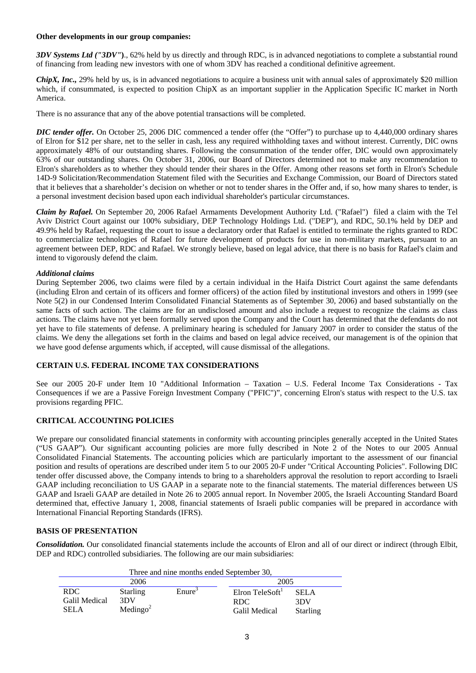### **Other developments in our group companies:**

*3DV Systems Ltd ("3DV"***)**., 62% held by us directly and through RDC, is in advanced negotiations to complete a substantial round of financing from leading new investors with one of whom 3DV has reached a conditional definitive agreement.

*ChipX, Inc.,* 29% held by us, is in advanced negotiations to acquire a business unit with annual sales of approximately \$20 million which, if consummated, is expected to position ChipX as an important supplier in the Application Specific IC market in North America.

There is no assurance that any of the above potential transactions will be completed.

*DIC tender offer.* On October 25, 2006 DIC commenced a tender offer (the "Offer") to purchase up to 4,440,000 ordinary shares of Elron for \$12 per share, net to the seller in cash, less any required withholding taxes and without interest. Currently, DIC owns approximately 48% of our outstanding shares. Following the consummation of the tender offer, DIC would own approximately 63% of our outstanding shares. On October 31, 2006, our Board of Directors determined not to make any recommendation to Elron's shareholders as to whether they should tender their shares in the Offer. Among other reasons set forth in Elron's Schedule 14D-9 Solicitation/Recommendation Statement filed with the Securities and Exchange Commission, our Board of Directors stated that it believes that a shareholder's decision on whether or not to tender shares in the Offer and, if so, how many shares to tender, is a personal investment decision based upon each individual shareholder's particular circumstances.

*Claim by Rafael.* On September 20, 2006 Rafael Armaments Development Authority Ltd. ("Rafael") filed a claim with the Tel Aviv District Court against our 100% subsidiary, DEP Technology Holdings Ltd. ("DEP"), and RDC, 50.1% held by DEP and 49.9% held by Rafael, requesting the court to issue a declaratory order that Rafael is entitled to terminate the rights granted to RDC to commercialize technologies of Rafael for future development of products for use in non-military markets, pursuant to an agreement between DEP, RDC and Rafael. We strongly believe, based on legal advice, that there is no basis for Rafael's claim and intend to vigorously defend the claim.

## *Additional claims*

During September 2006, two claims were filed by a certain individual in the Haifa District Court against the same defendants (including Elron and certain of its officers and former officers) of the action filed by institutional investors and others in 1999 (see Note 5(2) in our Condensed Interim Consolidated Financial Statements as of September 30, 2006) and based substantially on the same facts of such action. The claims are for an undisclosed amount and also include a request to recognize the claims as class actions. The claims have not yet been formally served upon the Company and the Court has determined that the defendants do not yet have to file statements of defense. A preliminary hearing is scheduled for January 2007 in order to consider the status of the claims. We deny the allegations set forth in the claims and based on legal advice received, our management is of the opinion that we have good defense arguments which, if accepted, will cause dismissal of the allegations.

## **CERTAIN U.S. FEDERAL INCOME TAX CONSIDERATIONS**

See our 2005 20-F under Item 10 "Additional Information – Taxation – U.S. Federal Income Tax Considerations - Tax Consequences if we are a Passive Foreign Investment Company ("PFIC")", concerning Elron's status with respect to the U.S. tax provisions regarding PFIC.

## **CRITICAL ACCOUNTING POLICIES**

We prepare our consolidated financial statements in conformity with accounting principles generally accepted in the United States ("US GAAP"). Our significant accounting policies are more fully described in Note 2 of the Notes to our 2005 Annual Consolidated Financial Statements. The accounting policies which are particularly important to the assessment of our financial position and results of operations are described under item 5 to our 2005 20-F under "Critical Accounting Policies". Following DIC tender offer discussed above, the Company intends to bring to a shareholders approval the resolution to report according to Israeli GAAP including reconciliation to US GAAP in a separate note to the financial statements. The material differences between US GAAP and Israeli GAAP are detailed in Note 26 to 2005 annual report. In November 2005, the Israeli Accounting Standard Board determined that, effective January 1, 2008, financial statements of Israeli public companies will be prepared in accordance with International Financial Reporting Standards (IFRS).

# **BASIS OF PRESENTATION**

*Consolidation.* Our consolidated financial statements include the accounts of Elron and all of our direct or indirect (through Elbit, DEP and RDC) controlled subsidiaries. The following are our main subsidiaries:

| Three and nine months ended September 30,  |                                                |                    |                                         |                                       |  |
|--------------------------------------------|------------------------------------------------|--------------------|-----------------------------------------|---------------------------------------|--|
| 2006                                       |                                                |                    | 2005                                    |                                       |  |
| RDC<br><b>Galil Medical</b><br><b>SELA</b> | <b>Starling</b><br>3DV<br>Medingo <sup>2</sup> | Enure <sup>3</sup> | Elron TeleSoft<br>RDC.<br>Galil Medical | <b>SELA</b><br>3DV<br><b>Starling</b> |  |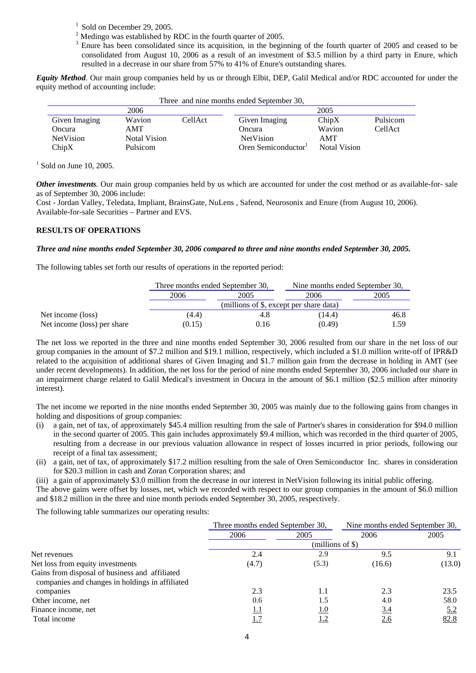- $<sup>1</sup>$  Sold on December 29, 2005.</sup>
- <sup>2</sup> Medingo was established by RDC in the fourth quarter of 2005.
- $3$  Enure has been consolidated since its acquisition, in the beginning of the fourth quarter of 2005 and ceased to be consolidated from August 10, 2006 as a result of an investment of \$3.5 million by a third party in Enure, which resulted in a decrease in our share from 57% to 41% of Enure's outstanding shares.

*Equity Method.* Our main group companies held by us or through Elbit, DEP, Galil Medical and/or RDC accounted for under the equity method of accounting include:

| Three and nine months ended September 30, |              |         |                                 |              |          |
|-------------------------------------------|--------------|---------|---------------------------------|--------------|----------|
| 2006                                      |              |         | 2005                            |              |          |
| Given Imaging                             | Wavion       | CellAct | Given Imaging                   | ChipX        | Pulsicom |
| Oncura                                    | AMT          |         | Oncura                          | Wavion       | CellAct  |
| <b>NetVision</b>                          | Notal Vision |         | <b>NetVision</b>                | AMT          |          |
| ChipX                                     | Pulsicom     |         | Oren Semiconductor <sup>1</sup> | Notal Vision |          |

 $<sup>1</sup>$  Sold on June 10, 2005.</sup>

*Other investments.* Our main group companies held by us which are accounted for under the cost method or as available-for- sale as of September 30, 2006 include:

Cost - Jordan Valley, Teledata, Impliant, BrainsGate, NuLens , Safend, Neurosonix and Enure (from August 10, 2006). Available-for-sale Securities – Partner and EVS.

### **RESULTS OF OPERATIONS**

### *Three and nine months ended September 30, 2006 compared to three and nine months ended September 30, 2005.*

The following tables set forth our results of operations in the reported period:

|                             | Three months ended September 30,        |      | Nine months ended September 30, |      |  |
|-----------------------------|-----------------------------------------|------|---------------------------------|------|--|
|                             | 2006<br>2005                            |      | 2006                            | 2005 |  |
|                             | (millions of \$, except per share data) |      |                                 |      |  |
| Net income (loss)           | (4.4)                                   | 4.8  | (14.4)                          | 46.8 |  |
| Net income (loss) per share | (0.15)                                  | 0.16 | (0.49)                          | 1.59 |  |

The net loss we reported in the three and nine months ended September 30, 2006 resulted from our share in the net loss of our group companies in the amount of \$7.2 million and \$19.1 million, respectively, which included a \$1.0 million write-off of IPR&D related to the acquisition of additional shares of Given Imaging and \$1.7 million gain from the decrease in holding in AMT (see under recent developments). In addition, the net loss for the period of nine months ended September 30, 2006 included our share in an impairment charge related to Galil Medical's investment in Oncura in the amount of \$6.1 million (\$2.5 million after minority interest).

The net income we reported in the nine months ended September 30, 2005 was mainly due to the following gains from changes in holding and dispositions of group companies:

- (i) a gain, net of tax, of approximately \$45.4 million resulting from the sale of Partner's shares in consideration for \$94.0 million in the second quarter of 2005. This gain includes approximately \$9.4 million, which was recorded in the third quarter of 2005, resulting from a decrease in our previous valuation allowance in respect of losses incurred in prior periods, following our receipt of a final tax assessment;
- (ii) a gain, net of tax, of approximately \$17.2 million resulting from the sale of Oren Semiconductor Inc. shares in consideration for \$20.3 million in cash and Zoran Corporation shares; and
- (iii) a gain of approximately \$3.0 million from the decrease in our interest in NetVision following its initial public offering.

The above gains were offset by losses, net, which we recorded with respect to our group companies in the amount of \$6.0 million and \$18.2 million in the three and nine month periods ended September 30, 2005, respectively.

The following table summarizes our operating results:

| Three months ended September 30, |       | Nine months ended September 30, |        |  |  |
|----------------------------------|-------|---------------------------------|--------|--|--|
| 2006                             | 2005  | 2006                            | 2005   |  |  |
| $(millions of \$)$               |       |                                 |        |  |  |
| 2.4                              | 2.9   | 9.5                             | 9.1    |  |  |
| (4.7)                            | (5.3) | (16.6)                          | (13.0) |  |  |
|                                  |       |                                 |        |  |  |
| 2.3                              | 1.1   | 2.3                             | 23.5   |  |  |
| 0.6                              | 1.5   | 4.0                             | 58.0   |  |  |
| 1.1                              | 1.0   | 3.4                             | 5.2    |  |  |
| 1.7                              | 1.2   | <u>2.6</u>                      | 82.8   |  |  |
|                                  |       |                                 |        |  |  |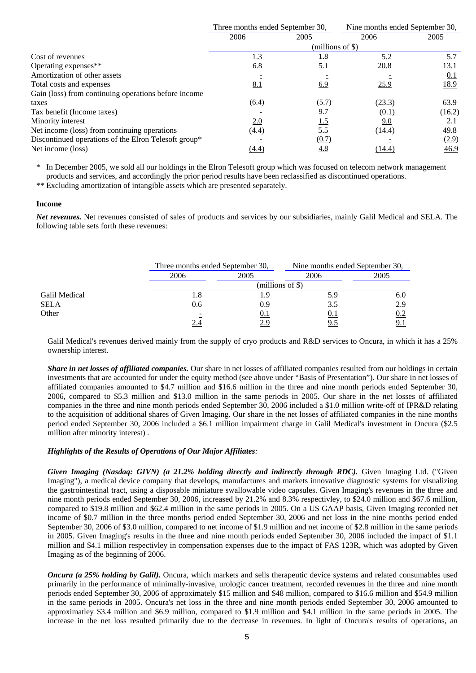|                                                      | Three months ended September 30, |            | Nine months ended September 30, |            |  |
|------------------------------------------------------|----------------------------------|------------|---------------------------------|------------|--|
|                                                      | 2006                             | 2005       | 2006                            | 2005       |  |
|                                                      | $(millions of \$))$              |            |                                 |            |  |
| Cost of revenues                                     | 1.3                              | 1.8        | 5.2                             | 5.7        |  |
| Operating expenses**                                 | 6.8                              | 5.1        | 20.8                            | 13.1       |  |
| Amortization of other assets                         |                                  |            |                                 | <u>0.1</u> |  |
| Total costs and expenses                             | 8.1                              | 6.9        | 25.9                            | 18.9       |  |
| Gain (loss) from continuing operations before income |                                  |            |                                 |            |  |
| taxes                                                | (6.4)                            | (5.7)      | (23.3)                          | 63.9       |  |
| Tax benefit (Income taxes)                           |                                  | 9.7        | (0.1)                           | (16.2)     |  |
| Minority interest                                    | 2.0                              | <u>1.5</u> | <u>9.0</u>                      | <u>2.1</u> |  |
| Net income (loss) from continuing operations         | (4.4)                            | 5.5        | (14.4)                          | 49.8       |  |
| Discontinued operations of the Elron Telesoft group* |                                  | (0.7)      |                                 | (2.9)      |  |
| Net income (loss)                                    | (4.4)                            | 4.8        | (14.4)                          | 46.9       |  |

In December 2005, we sold all our holdings in the Elron Telesoft group which was focused on telecom network management products and services, and accordingly the prior period results have been reclassified as discontinued operations.

\*\* Excluding amortization of intangible assets which are presented separately.

### **Income**

*Net revenues.* Net revenues consisted of sales of products and services by our subsidiaries, mainly Galil Medical and SELA. The following table sets forth these revenues:

|               |        | Three months ended September 30, |      | Nine months ended September 30, |  |
|---------------|--------|----------------------------------|------|---------------------------------|--|
|               | 2006   | 2005                             | 2006 | 2005                            |  |
|               |        | (millions of $\$\$ )             |      |                                 |  |
| Galil Medical | . 8. ، |                                  | 5.9  | 6.0                             |  |
| <b>SELA</b>   | 0.6    | 0.9 <sup>°</sup>                 |      | 2.9                             |  |
| Other         | Ξ      | U.I                              | 0.1  | 0.2                             |  |
|               |        |                                  |      |                                 |  |

Galil Medical's revenues derived mainly from the supply of cryo products and R&D services to Oncura, in which it has a 25% ownership interest.

*Share in net losses of affiliated companies.* Our share in net losses of affiliated companies resulted from our holdings in certain investments that are accounted for under the equity method (see above under "Basis of Presentation"). Our share in net losses of affiliated companies amounted to \$4.7 million and \$16.6 million in the three and nine month periods ended September 30, 2006, compared to \$5.3 million and \$13.0 million in the same periods in 2005. Our share in the net losses of affiliated companies in the three and nine month periods ended September 30, 2006 included a \$1.0 million write-off of IPR&D relating to the acquisition of additional shares of Given Imaging. Our share in the net losses of affiliated companies in the nine months period ended September 30, 2006 included a \$6.1 million impairment charge in Galil Medical's investment in Oncura (\$2.5 million after minority interest) .

## *Highlights of the Results of Operations of Our Major Affiliates:*

*Given Imaging (Nasdaq: GIVN) (a 21.2% holding directly and indirectly through RDC).* Given Imaging Ltd. ("Given Imaging"), a medical device company that develops, manufactures and markets innovative diagnostic systems for visualizing the gastrointestinal tract, using a disposable miniature swallowable video capsules. Given Imaging's revenues in the three and nine month periods ended September 30, 2006, increased by 21.2% and 8.3% respectivley, to \$24.0 million and \$67.6 million, compared to \$19.8 million and \$62.4 million in the same periods in 2005. On a US GAAP basis, Given Imaging recorded net income of \$0.7 million in the three months period ended September 30, 2006 and net loss in the nine months period ended September 30, 2006 of \$3.0 million, compared to net income of \$1.9 million and net income of \$2.8 million in the same periods in 2005. Given Imaging's results in the three and nine month periods ended September 30, 2006 included the impact of \$1.1 million and \$4.1 million respectivley in compensation expenses due to the impact of FAS 123R, which was adopted by Given Imaging as of the beginning of 2006.

*Oncura (a 25% holding by Galil).* Oncura, which markets and sells therapeutic device systems and related consumables used primarily in the performance of minimally-invasive, urologic cancer treatment, recorded revenues in the three and nine month periods ended September 30, 2006 of approximately \$15 million and \$48 million, compared to \$16.6 million and \$54.9 million in the same periods in 2005. Oncura's net loss in the three and nine month periods ended September 30, 2006 amounted to approximatley \$3.4 million and \$6.9 million, compared to \$1.9 million and \$4.1 million in the same periods in 2005. The increase in the net loss resulted primarily due to the decrease in revenues. In light of Oncura's results of operations, an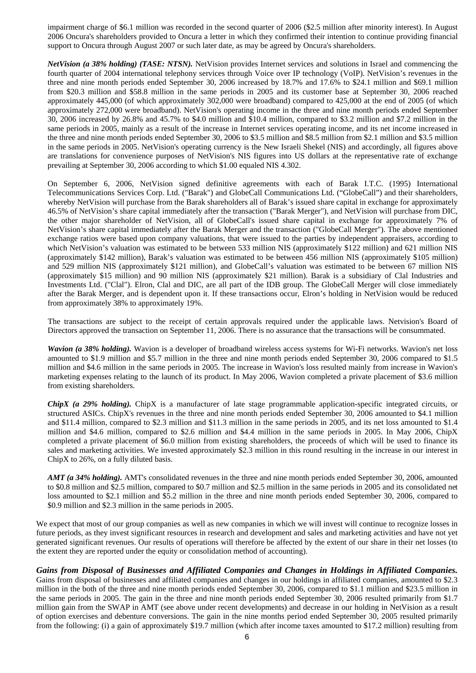impairment charge of \$6.1 million was recorded in the second quarter of 2006 (\$2.5 million after minority interest). In August 2006 Oncura's shareholders provided to Oncura a letter in which they confirmed their intention to continue providing financial support to Oncura through August 2007 or such later date, as may be agreed by Oncura's shareholders.

*NetVision (a 38% holding) (TASE: NTSN).* NetVision provides Internet services and solutions in Israel and commencing the fourth quarter of 2004 international telephony services through Voice over IP technology (VoIP). NetVision's revenues in the three and nine month periods ended September 30, 2006 increased by 18.7% and 17.6% to \$24.1 million and \$69.1 million from \$20.3 million and \$58.8 million in the same periods in 2005 and its customer base at September 30, 2006 reached approximately 445,000 (of which approximately 302,000 were broadband) compared to 425,000 at the end of 2005 (of which approximately 272,000 were broadband). NetVision's operating income in the three and nine month periods ended September 30, 2006 increased by 26.8% and 45.7% to \$4.0 million and \$10.4 million, compared to \$3.2 million and \$7.2 million in the same periods in 2005, mainly as a result of the increase in Internet services operating income, and its net income increased in the three and nine month periods ended September 30, 2006 to \$3.5 million and \$8.5 million from \$2.1 million and \$3.5 million in the same periods in 2005. NetVision's operating currency is the New Israeli Shekel (NIS) and accordingly, all figures above are translations for convenience purposes of NetVision's NIS figures into US dollars at the representative rate of exchange prevailing at September 30, 2006 according to which \$1.00 equaled NIS 4.302.

On September 6, 2006, NetVision signed definitive agreements with each of Barak I.T.C. (1995) International Telecommunications Services Corp. Ltd. ("Barak") and GlobeCall Communications Ltd. ("GlobeCall") and their shareholders, whereby NetVision will purchase from the Barak shareholders all of Barak's issued share capital in exchange for approximately 46.5% of NetVision's share capital immediately after the transaction ("Barak Merger"), and NetVision will purchase from DIC, the other major shareholder of NetVision, all of GlobeCall's issued share capital in exchange for approximately 7% of NetVision's share capital immediately after the Barak Merger and the transaction ("GlobeCall Merger"). The above mentioned exchange ratios were based upon company valuations, that were issued to the parties by independent appraisers, according to which NetVision's valuation was estimated to be between 533 million NIS (approximately \$122 million) and 621 million NIS (approximately \$142 million), Barak's valuation was estimated to be between 456 million NIS (approximately \$105 million) and 529 million NIS (approximately \$121 million), and GlobeCall's valuation was estimated to be between 67 million NIS (approximately \$15 million) and 90 million NIS (approximately \$21 million). Barak is a subsidiary of Clal Industries and Investments Ltd. ("Clal"). Elron, Clal and DIC, are all part of the IDB group. The GlobeCall Merger will close immediately after the Barak Merger, and is dependent upon it. If these transactions occur, Elron's holding in NetVision would be reduced from approximately 38% to approximately 19%.

The transactions are subject to the receipt of certain approvals required under the applicable laws. Netvision's Board of Directors approved the transaction on September 11, 2006. There is no assurance that the transactions will be consummated.

*Wavion (a 38% holding).* Wavion is a developer of broadband wireless access systems for Wi-Fi networks. Wavion's net loss amounted to \$1.9 million and \$5.7 million in the three and nine month periods ended September 30, 2006 compared to \$1.5 million and \$4.6 million in the same periods in 2005. The increase in Wavion's loss resulted mainly from increase in Wavion's marketing expenses relating to the launch of its product. In May 2006, Wavion completed a private placement of \$3.6 million from existing shareholders.

*ChipX (a 29% holding).* ChipX is a manufacturer of late stage programmable application-specific integrated circuits, or structured ASICs. ChipX's revenues in the three and nine month periods ended September 30, 2006 amounted to \$4.1 million and \$11.4 million, compared to \$2.3 million and \$11.3 million in the same periods in 2005, and its net loss amounted to \$1.4 million and \$4.6 million, compared to \$2.6 million and \$4.4 million in the same periods in 2005. In May 2006, ChipX completed a private placement of \$6.0 million from existing shareholders, the proceeds of which will be used to finance its sales and marketing activities. We invested approximately \$2.3 million in this round resulting in the increase in our interest in ChipX to 26%, on a fully diluted basis.

*AMT (a 34% holding).* AMT's consolidated revenues in the three and nine month periods ended September 30, 2006, amounted to \$0.8 million and \$2.5 million, compared to \$0.7 million and \$2.5 million in the same periods in 2005 and its consolidated net loss amounted to \$2.1 million and \$5.2 million in the three and nine month periods ended September 30, 2006, compared to \$0.9 million and \$2.3 million in the same periods in 2005.

We expect that most of our group companies as well as new companies in which we will invest will continue to recognize losses in future periods, as they invest significant resources in research and development and sales and marketing activities and have not yet generated significant revenues. Our results of operations will therefore be affected by the extent of our share in their net losses (to the extent they are reported under the equity or consolidation method of accounting).

## *Gains from Disposal of Businesses and Affiliated Companies and Changes in Holdings in Affiliated Companies.*

Gains from disposal of businesses and affiliated companies and changes in our holdings in affiliated companies, amounted to \$2.3 million in the both of the three and nine month periods ended September 30, 2006, compared to \$1.1 million and \$23.5 million in the same periods in 2005. The gain in the three and nine month periods ended September 30, 2006 resulted primarily from \$1.7 million gain from the SWAP in AMT (see above under recent developments) and decrease in our holding in NetVision as a result of option exercises and debenture conversions. The gain in the nine months period ended September 30, 2005 resulted primarily from the following: (i) a gain of approximately \$19.7 million (which after income taxes amounted to \$17.2 million) resulting from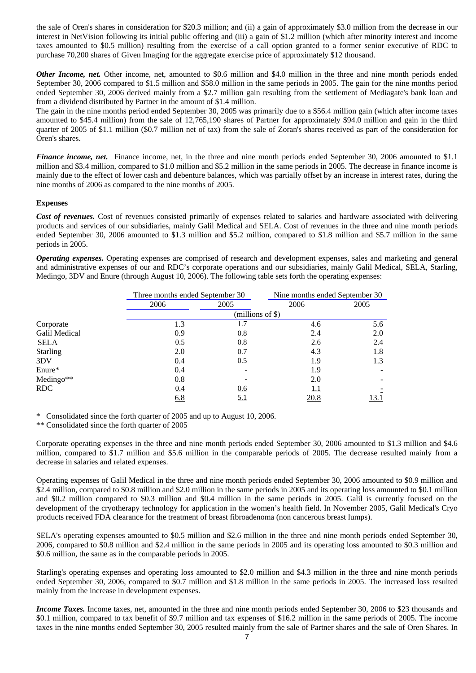the sale of Oren's shares in consideration for \$20.3 million; and (ii) a gain of approximately \$3.0 million from the decrease in our interest in NetVision following its initial public offering and (iii) a gain of \$1.2 million (which after minority interest and income taxes amounted to \$0.5 million) resulting from the exercise of a call option granted to a former senior executive of RDC to purchase 70,200 shares of Given Imaging for the aggregate exercise price of approximately \$12 thousand.

*Other Income, net.* Other income, net, amounted to \$0.6 million and \$4.0 million in the three and nine month periods ended September 30, 2006 compared to \$1.5 million and \$58.0 million in the same periods in 2005. The gain for the nine months period ended September 30, 2006 derived mainly from a \$2.7 million gain resulting from the settlement of Mediagate's bank loan and from a dividend distributed by Partner in the amount of \$1.4 million.

The gain in the nine months period ended September 30, 2005 was primarily due to a \$56.4 million gain (which after income taxes amounted to \$45.4 million) from the sale of 12,765,190 shares of Partner for approximately \$94.0 million and gain in the third quarter of 2005 of \$1.1 million (\$0.7 million net of tax) from the sale of Zoran's shares received as part of the consideration for Oren's shares.

*Finance income, net.* Finance income, net, in the three and nine month periods ended September 30, 2006 amounted to \$1.1 million and \$3.4 million, compared to \$1.0 million and \$5.2 million in the same periods in 2005. The decrease in finance income is mainly due to the effect of lower cash and debenture balances, which was partially offset by an increase in interest rates, during the nine months of 2006 as compared to the nine months of 2005.

## **Expenses**

*Cost of revenues.* Cost of revenues consisted primarily of expenses related to salaries and hardware associated with delivering products and services of our subsidiaries, mainly Galil Medical and SELA. Cost of revenues in the three and nine month periods ended September 30, 2006 amounted to \$1.3 million and \$5.2 million, compared to \$1.8 million and \$5.7 million in the same periods in 2005.

*Operating expenses.* Operating expenses are comprised of research and development expenses, sales and marketing and general and administrative expenses of our and RDC's corporate operations and our subsidiaries, mainly Galil Medical, SELA, Starling, Medingo, 3DV and Enure (through August 10, 2006). The following table sets forth the operating expenses:

|                 | Three months ended September 30 |                  | Nine months ended September 30 |      |  |  |
|-----------------|---------------------------------|------------------|--------------------------------|------|--|--|
|                 | 2006                            | 2005             | 2006                           | 2005 |  |  |
|                 |                                 | (millions of \$) |                                |      |  |  |
| Corporate       | 1.3                             | 1.7              | 4.6                            | 5.6  |  |  |
| Galil Medical   | 0.9                             | 0.8              | 2.4                            | 2.0  |  |  |
| <b>SELA</b>     | 0.5                             | 0.8              | 2.6                            | 2.4  |  |  |
| <b>Starling</b> | 2.0                             | 0.7              | 4.3                            | 1.8  |  |  |
| 3DV             | 0.4                             | 0.5              | 1.9                            | 1.3  |  |  |
| Enure*          | 0.4                             |                  | 1.9                            |      |  |  |
| Medingo**       | 0.8                             |                  | 2.0                            |      |  |  |
| <b>RDC</b>      | 0.4                             | 0.6              | 1.1                            |      |  |  |
|                 | 6.8                             | <u>5.1</u>       | 20.8                           | 13.1 |  |  |

Consolidated since the forth quarter of 2005 and up to August 10, 2006.

\*\* Consolidated since the forth quarter of 2005

Corporate operating expenses in the three and nine month periods ended September 30, 2006 amounted to \$1.3 million and \$4.6 million, compared to \$1.7 million and \$5.6 million in the comparable periods of 2005. The decrease resulted mainly from a decrease in salaries and related expenses.

Operating expenses of Galil Medical in the three and nine month periods ended September 30, 2006 amounted to \$0.9 million and \$2.4 million, compared to \$0.8 million and \$2.0 million in the same periods in 2005 and its operating loss amounted to \$0.1 million and \$0.2 million compared to \$0.3 million and \$0.4 million in the same periods in 2005. Galil is currently focused on the development of the cryotherapy technology for application in the women's health field. In November 2005, Galil Medical's Cryo products received FDA clearance for the treatment of breast fibroadenoma (non cancerous breast lumps).

SELA's operating expenses amounted to \$0.5 million and \$2.6 million in the three and nine month periods ended September 30, 2006, compared to \$0.8 million and \$2.4 million in the same periods in 2005 and its operating loss amounted to \$0.3 million and \$0.6 million, the same as in the comparable periods in 2005.

Starling's operating expenses and operating loss amounted to \$2.0 million and \$4.3 million in the three and nine month periods ended September 30, 2006, compared to \$0.7 million and \$1.8 million in the same periods in 2005. The increased loss resulted mainly from the increase in development expenses.

*Income Taxes*. Income taxes, net, amounted in the three and nine month periods ended September 30, 2006 to \$23 thousands and \$0.1 million, compared to tax benefit of \$9.7 million and tax expenses of \$16.2 million in the same periods of 2005. The income taxes in the nine months ended September 30, 2005 resulted mainly from the sale of Partner shares and the sale of Oren Shares. In